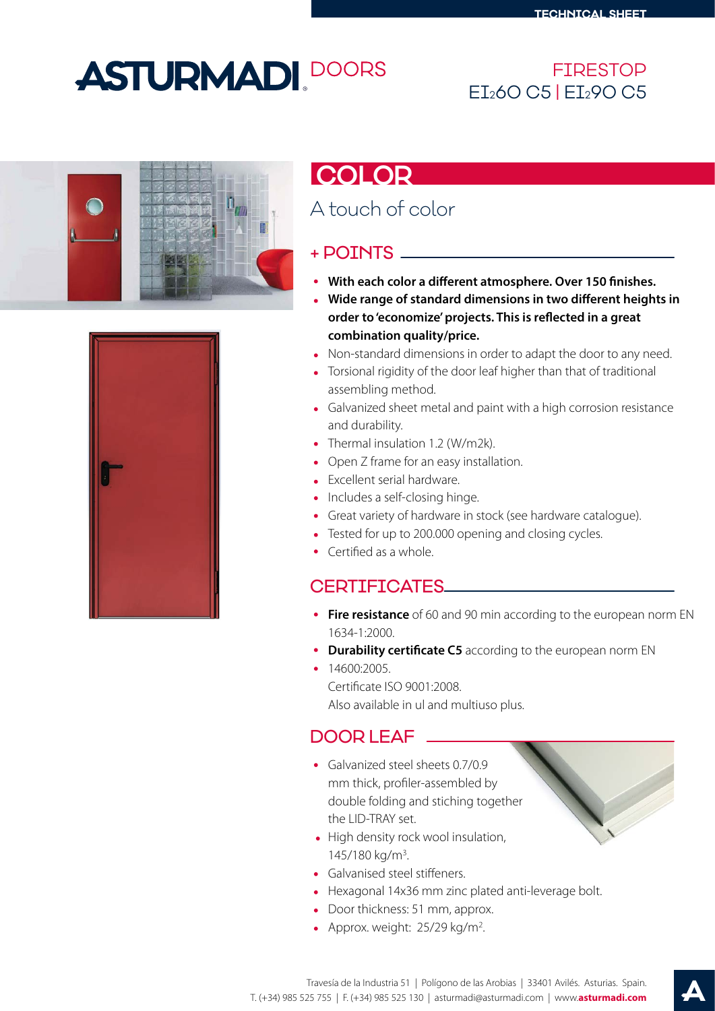# **ASTURMADI DOORS**

#### FIRESTOP EI260 C5 | EI290 C5





## **COLOR**

## A touch of color

#### + POINTS

- With each color a different atmosphere. Over 150 finishes.
- **Wide range of standard dimensions in two different heights in** order to 'economize' projects. This is reflected in a great **combination quality/price.**
- Non-standard dimensions in order to adapt the door to any need.
- Torsional rigidity of the door leaf higher than that of traditional assembling method.
- Galvanized sheet metal and paint with a high corrosion resistance and durability.
- Thermal insulation 1.2 (W/m2k).
- Open Z frame for an easy installation.
- Excellent serial hardware.
- Includes a self-closing hinge.
- Great variety of hardware in stock (see hardware catalogue).
- Tested for up to 200.000 opening and closing cycles.
- Certified as a whole.

#### CERTIFICATES

- **Fire resistance** of 60 and 90 min according to the european norm EN 1634-1:2000.
- **Durability certificate C5** according to the european norm EN
- $\cdot$  14600:2005.

Certificate ISO 9001:2008. Also available in ul and multiuso plus.

### DOOR LEAF

- Galvanized steel sheets 0.7/0.9 mm thick, profiler-assembled by double folding and stiching together the LID-TRAY set.
- High density rock wool insulation, 145/180 kg/m3.
- Galvanised steel stiffeners.
- Hexagonal 14x36 mm zinc plated anti-leverage bolt.
- Door thickness: 51 mm, approx.
- Approx. weight: 25/29 kg/m<sup>2</sup>.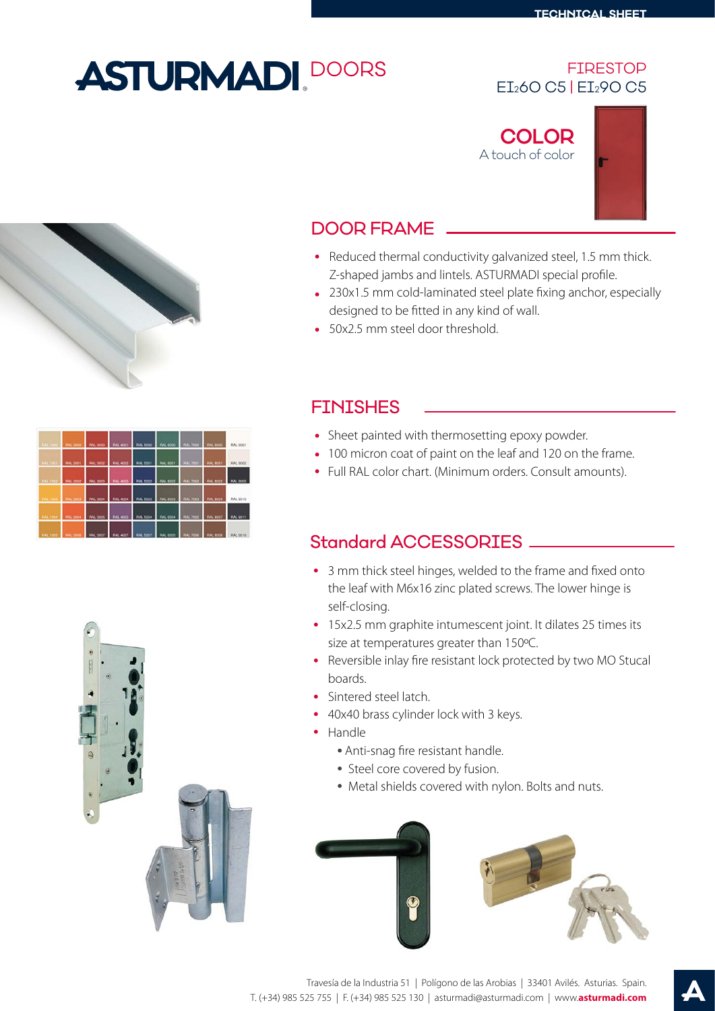# **ASTURMADI.** DOORS

#### FIRESTOP EI260 C5 | EI290 C5

**COLOR** A touch of color



### DOOR FRAME

- Reduced thermal conductivity galvanized steel, 1.5 mm thick. Z-shaped jambs and lintels. ASTURMADI special profile.
- 230x1.5 mm cold-laminated steel plate fixing anchor, especially designed to be fitted in any kind of wall.
- 50x2.5 mm steel door threshold.



### FINISHES

- Sheet painted with thermosetting epoxy powder.
- 100 micron coat of paint on the leaf and 120 on the frame.
- Full RAL color chart. (Minimum orders. Consult amounts).

#### Standard ACCESSORIES

- 3 mm thick steel hinges, welded to the frame and fixed onto the leaf with M6x16 zinc plated screws. The lower hinge is self-closing.
- 15x2.5 mm graphite intumescent joint. It dilates 25 times its size at temperatures greater than 150ºC.
- Reversible inlay fire resistant lock protected by two MO Stucal boards.
- Sintered steel latch.
- 40x40 brass cylinder lock with 3 keys.
- Handle
	- Anti-snag fire resistant handle.
	- Steel core covered by fusion.
	- Metal shields covered with nylon. Bolts and nuts.





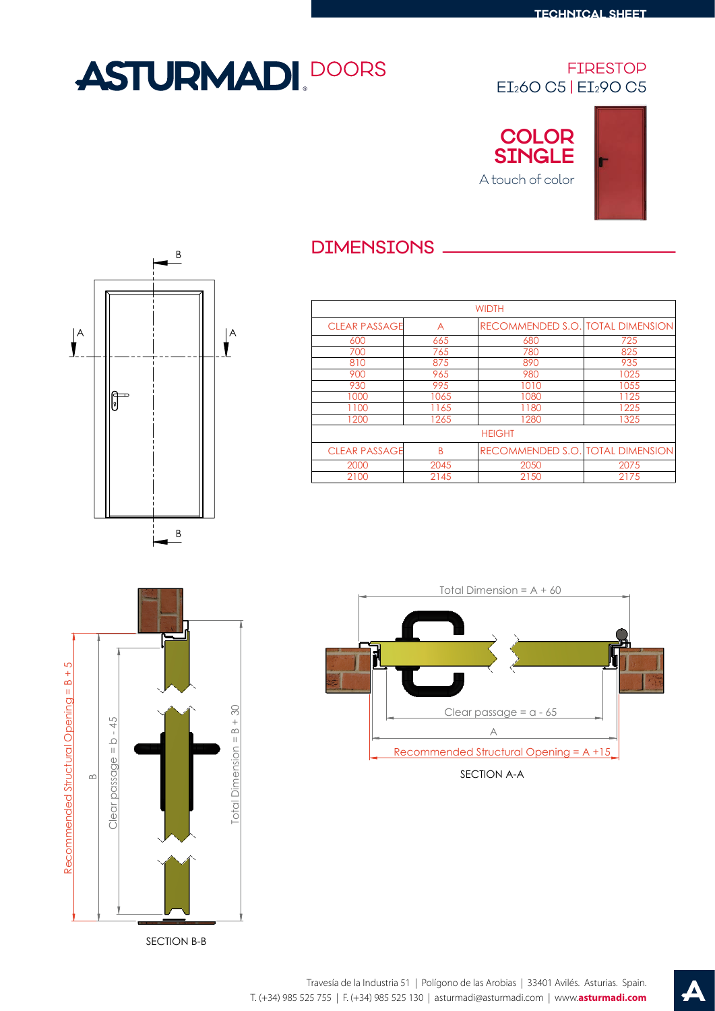# **ASTURMADI. DOORS**

#### FIRESTOP EI260 C5 | EI290 C5







### DIMENSIONS

| <b>WIDTH</b>              |      |                                  |                                  |  |  |  |  |  |
|---------------------------|------|----------------------------------|----------------------------------|--|--|--|--|--|
| <b>CLEAR PASSAGE</b><br>A |      | RECOMMENDED S.O. TOTAL DIMENSION |                                  |  |  |  |  |  |
| 600                       | 665  | 680                              | 725                              |  |  |  |  |  |
| 700                       | 765  | 780                              | 825                              |  |  |  |  |  |
| 810                       | 875  | 890                              | 935                              |  |  |  |  |  |
| 900                       | 965  | 980                              | 1025                             |  |  |  |  |  |
| 930                       | 995  | 1010                             | 1055                             |  |  |  |  |  |
| 1000                      | 1065 | 1080                             | 1125                             |  |  |  |  |  |
| 1100                      | 1165 | 1180                             | 1225                             |  |  |  |  |  |
| 1200                      | 1265 | 1280                             | 1325                             |  |  |  |  |  |
| <b>HEIGHT</b>             |      |                                  |                                  |  |  |  |  |  |
| <b>CLEAR PASSAGE</b>      | B    |                                  | RECOMMENDED S.O. TOTAL DIMENSION |  |  |  |  |  |
| 2000                      | 2045 | 2050                             | 2075                             |  |  |  |  |  |
| 2100<br>2145              |      | 2150                             | 2175                             |  |  |  |  |  |



SECTION B-B



SECTION A-A